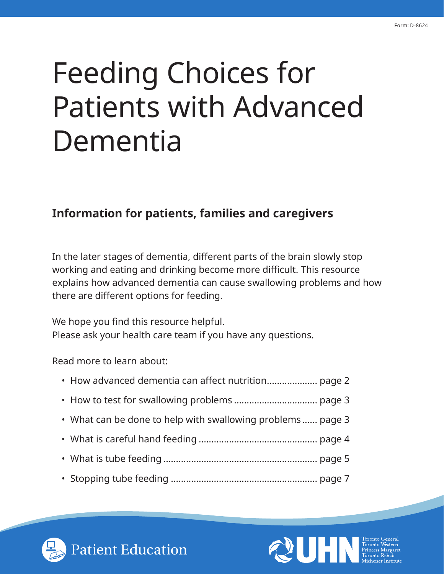# Feeding Choices for Patients with Advanced Dementia

## **Information for patients, families and caregivers**

In the later stages of dementia, different parts of the brain slowly stop working and eating and drinking become more difficult. This resource explains how advanced dementia can cause swallowing problems and how there are different options for feeding.

We hope you find this resource helpful. Please ask your health care team if you have any questions.

Read more to learn about:

- What can be done to help with swallowing problems ...... page 3
- What is careful hand feeding ............................................... page 4
- What is tube feeding ............................................................. page 5
- Stopping tube feeding .......................................................... page 7



Patient Education

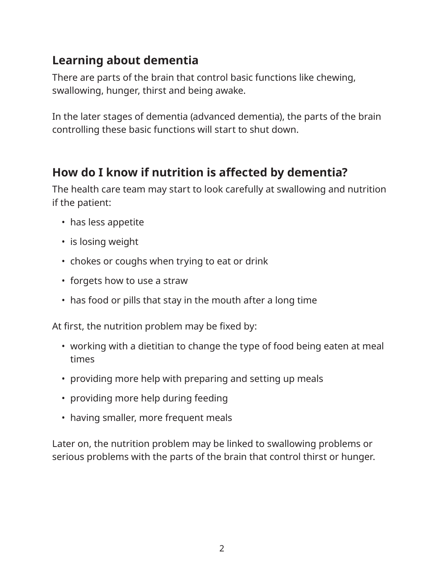## **Learning about dementia**

There are parts of the brain that control basic functions like chewing, swallowing, hunger, thirst and being awake.

In the later stages of dementia (advanced dementia), the parts of the brain controlling these basic functions will start to shut down.

## **How do I know if nutrition is affected by dementia?**

The health care team may start to look carefully at swallowing and nutrition if the patient:

- has less appetite
- is losing weight
- chokes or coughs when trying to eat or drink
- forgets how to use a straw
- has food or pills that stay in the mouth after a long time

At first, the nutrition problem may be fixed by:

- working with a dietitian to change the type of food being eaten at meal times
- providing more help with preparing and setting up meals
- providing more help during feeding
- having smaller, more frequent meals

Later on, the nutrition problem may be linked to swallowing problems or serious problems with the parts of the brain that control thirst or hunger.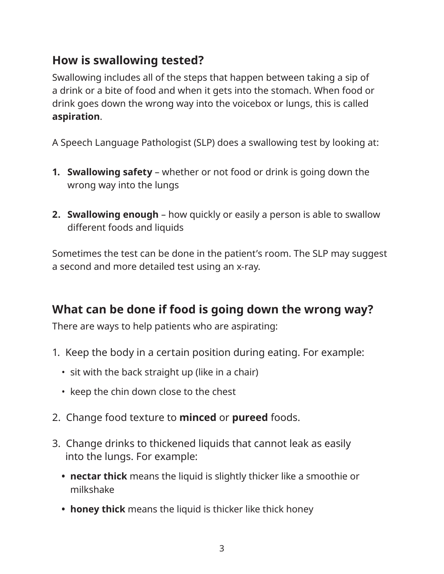## **How is swallowing tested?**

Swallowing includes all of the steps that happen between taking a sip of a drink or a bite of food and when it gets into the stomach. When food or drink goes down the wrong way into the voicebox or lungs, this is called **aspiration**.

A Speech Language Pathologist (SLP) does a swallowing test by looking at:

- **1. Swallowing safety** whether or not food or drink is going down the wrong way into the lungs
- **2. Swallowing enough** how quickly or easily a person is able to swallow different foods and liquids

Sometimes the test can be done in the patient's room. The SLP may suggest a second and more detailed test using an x-ray.

## **What can be done if food is going down the wrong way?**

There are ways to help patients who are aspirating:

- 1. Keep the body in a certain position during eating. For example:
	- sit with the back straight up (like in a chair)
	- keep the chin down close to the chest
- 2. Change food texture to **minced** or **pureed** foods.
- 3. Change drinks to thickened liquids that cannot leak as easily into the lungs. For example:
	- **• nectar thick** means the liquid is slightly thicker like a smoothie or milkshake
	- **• honey thick** means the liquid is thicker like thick honey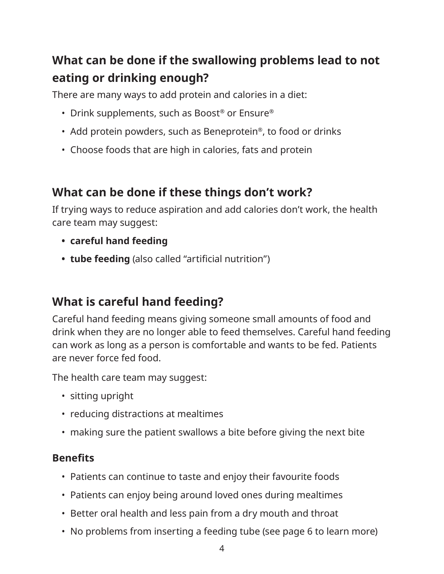# **What can be done if the swallowing problems lead to not eating or drinking enough?**

There are many ways to add protein and calories in a diet:

- Drink supplements, such as Boost® or Ensure®
- Add protein powders, such as Beneprotein<sup>®</sup>, to food or drinks
- Choose foods that are high in calories, fats and protein

## **What can be done if these things don't work?**

If trying ways to reduce aspiration and add calories don't work, the health care team may suggest:

- **• careful hand feeding**
- **• tube feeding** (also called "artificial nutrition")

## **What is careful hand feeding?**

Careful hand feeding means giving someone small amounts of food and drink when they are no longer able to feed themselves. Careful hand feeding can work as long as a person is comfortable and wants to be fed. Patients are never force fed food.

The health care team may suggest:

- sitting upright
- reducing distractions at mealtimes
- making sure the patient swallows a bite before giving the next bite

#### **Benefits**

- Patients can continue to taste and enjoy their favourite foods
- Patients can enjoy being around loved ones during mealtimes
- Better oral health and less pain from a dry mouth and throat
- No problems from inserting a feeding tube (see page 6 to learn more)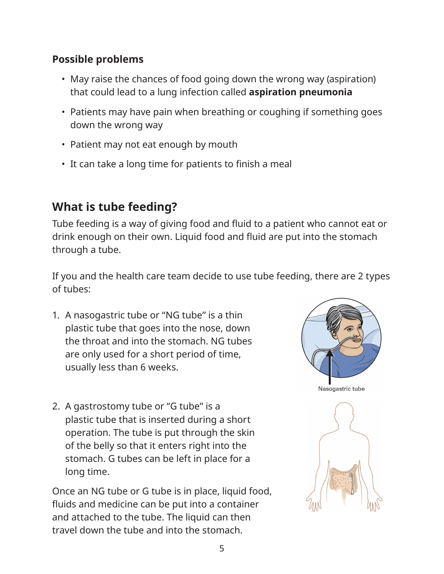#### **Possible problems**

- May raise the chances of food going down the wrong way (aspiration) that could lead to a lung infection called **aspiration pneumonia**
- Patients may have pain when breathing or coughing if something goes down the wrong way
- Patient may not eat enough by mouth
- It can take a long time for patients to finish a meal

## **What is tube feeding?**

Tube feeding is a way of giving food and fluid to a patient who cannot eat or drink enough on their own. Liquid food and fluid are put into the stomach through a tube.

If you and the health care team decide to use tube feeding, there are 2 types of tubes:

- 1. A nasogastric tube or "NG tube" is a thin plastic tube that goes into the nose, down the throat and into the stomach. NG tubes are only used for a short period of time, usually less than 6 weeks.
- 2. A gastrostomy tube or "G tube" is a plastic tube that is inserted during a short operation. The tube is put through the skin of the belly so that it enters right into the stomach. G tubes can be left in place for a long time.

Once an NG tube or G tube is in place, liquid food, fluids and medicine can be put into a container and attached to the tube. The liquid can then travel down the tube and into the stomach.

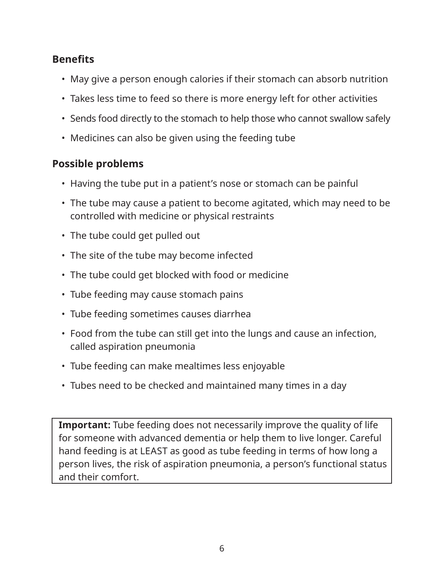#### **Benefits**

- May give a person enough calories if their stomach can absorb nutrition
- Takes less time to feed so there is more energy left for other activities
- Sends food directly to the stomach to help those who cannot swallow safely
- Medicines can also be given using the feeding tube

#### **Possible problems**

- Having the tube put in a patient's nose or stomach can be painful
- The tube may cause a patient to become agitated, which may need to be controlled with medicine or physical restraints
- The tube could get pulled out
- The site of the tube may become infected
- The tube could get blocked with food or medicine
- Tube feeding may cause stomach pains
- Tube feeding sometimes causes diarrhea
- Food from the tube can still get into the lungs and cause an infection, called aspiration pneumonia
- Tube feeding can make mealtimes less enjoyable
- Tubes need to be checked and maintained many times in a day

**Important:** Tube feeding does not necessarily improve the quality of life for someone with advanced dementia or help them to live longer. Careful hand feeding is at LEAST as good as tube feeding in terms of how long a person lives, the risk of aspiration pneumonia, a person's functional status and their comfort.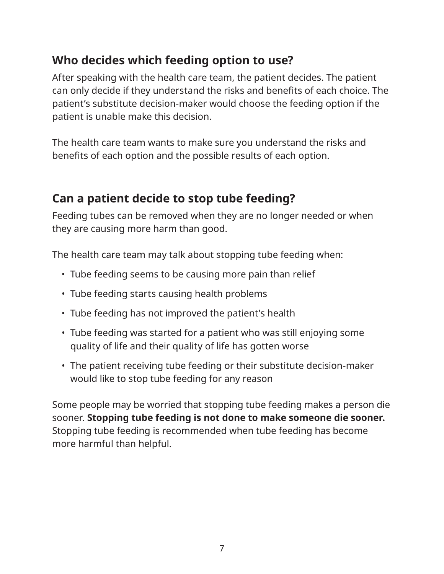## **Who decides which feeding option to use?**

After speaking with the health care team, the patient decides. The patient can only decide if they understand the risks and benefits of each choice. The patient's substitute decision-maker would choose the feeding option if the patient is unable make this decision.

The health care team wants to make sure you understand the risks and benefits of each option and the possible results of each option.

## **Can a patient decide to stop tube feeding?**

Feeding tubes can be removed when they are no longer needed or when they are causing more harm than good.

The health care team may talk about stopping tube feeding when:

- Tube feeding seems to be causing more pain than relief
- Tube feeding starts causing health problems
- Tube feeding has not improved the patient's health
- Tube feeding was started for a patient who was still enjoying some quality of life and their quality of life has gotten worse
- The patient receiving tube feeding or their substitute decision-maker would like to stop tube feeding for any reason

Some people may be worried that stopping tube feeding makes a person die sooner. **Stopping tube feeding is not done to make someone die sooner.**  Stopping tube feeding is recommended when tube feeding has become more harmful than helpful.